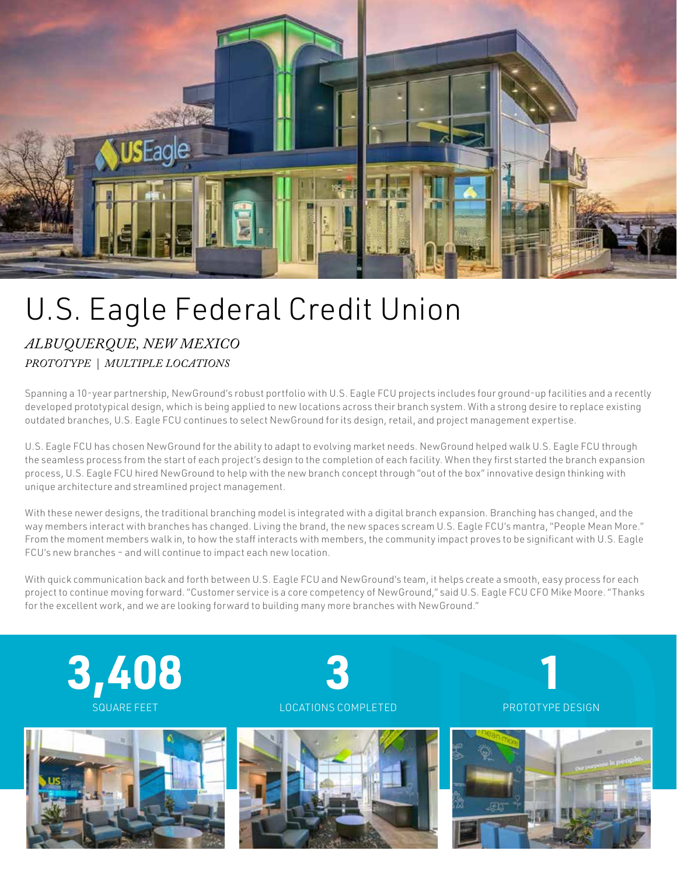

## U.S. Eagle Federal Credit Union

## *ALBUQUERQUE, NEW MEXICO PROTOTYPE | MULTIPLE LOCATIONS*

Spanning a 10-year partnership, NewGround's robust portfolio with U.S. Eagle FCU projects includes four ground-up facilities and a recently developed prototypical design, which is being applied to new locations across their branch system. With a strong desire to replace existing outdated branches, U.S. Eagle FCU continues to select NewGround for its design, retail, and project management expertise.

U.S. Eagle FCU has chosen NewGround for the ability to adapt to evolving market needs. NewGround helped walk U.S. Eagle FCU through the seamless process from the start of each project's design to the completion of each facility. When they first started the branch expansion process, U.S. Eagle FCU hired NewGround to help with the new branch concept through "out of the box" innovative design thinking with unique architecture and streamlined project management.

With these newer designs, the traditional branching model is integrated with a digital branch expansion. Branching has changed, and the way members interact with branches has changed. Living the brand, the new spaces scream U.S. Eagle FCU's mantra, "People Mean More." From the moment members walk in, to how the staff interacts with members, the community impact proves to be significant with U.S. Eagle FCU's new branches – and will continue to impact each new location.

With quick communication back and forth between U.S. Eagle FCU and NewGround's team, it helps create a smooth, easy process for each project to continue moving forward. "Customer service is a core competency of NewGround," said U.S. Eagle FCU CFO Mike Moore. "Thanks for the excellent work, and we are looking forward to building many more branches with NewGround."